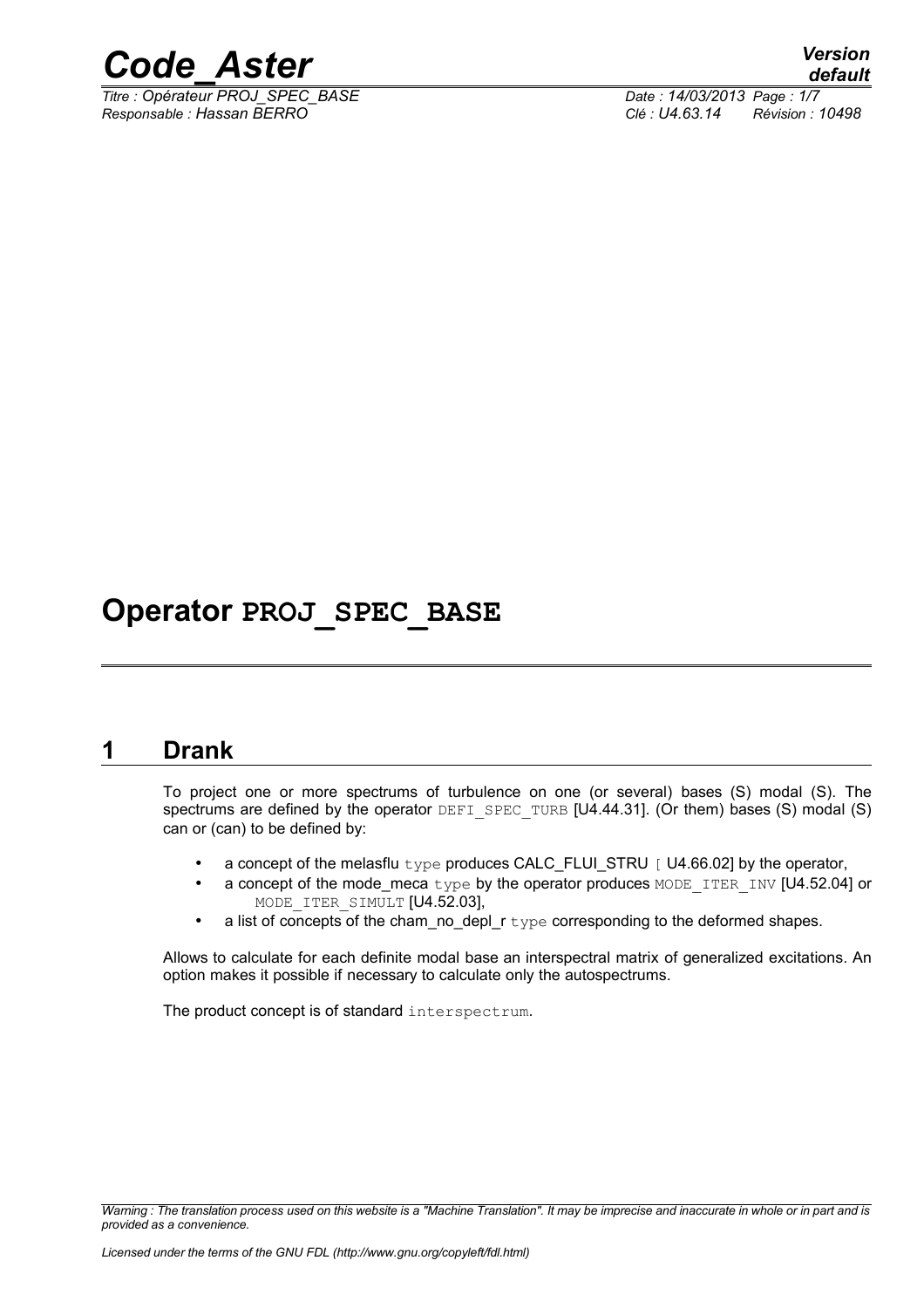

*Titre : Opérateur PROJ\_SPEC\_BASE Date : 14/03/2013 Page : 1/7 Responsable : Hassan BERRO Clé : U4.63.14 Révision : 10498*

# **Operator PROJ\_SPEC\_BASE**

# **1 Drank**

To project one or more spectrums of turbulence on one (or several) bases (S) modal (S). The spectrums are defined by the operator DEFI\_SPEC\_TURB [U4.44.31]. (Or them) bases (S) modal (S) can or (can) to be defined by:

- a concept of the melasflu type produces CALC\_FLUI\_STRU  $[$  U4.66.02] by the operator,
- a concept of the mode meca type by the operator produces MODE\_ITER\_INV [U4.52.04] or MODE ITER SIMULT [U4.52.03],
- a list of concepts of the cham\_no\_depl\_r type corresponding to the deformed shapes.

Allows to calculate for each definite modal base an interspectral matrix of generalized excitations. An option makes it possible if necessary to calculate only the autospectrums.

The product concept is of standard interspectrum.

*Warning : The translation process used on this website is a "Machine Translation". It may be imprecise and inaccurate in whole or in part and is provided as a convenience.*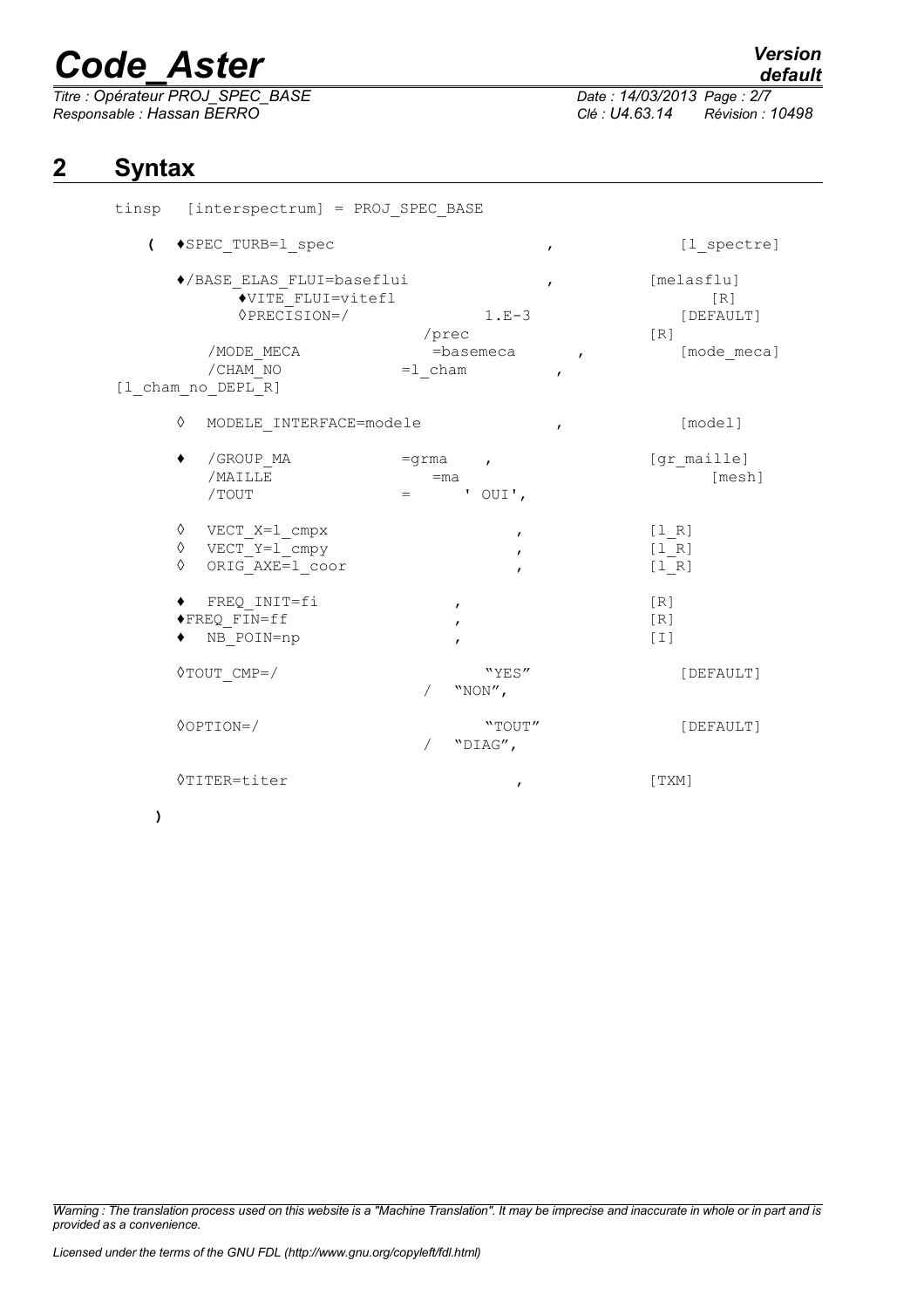*Titre : Opérateur PROJ\_SPEC\_BASE Date : 14/03/2013 Page : 2/7 Responsable : Hassan BERRO Clé : U4.63.14 Révision : 10498*

# *default*

### **2 Syntax**

| tinsp [interspectrum] = PROJ SPEC BASE                                                           |                                                                                                    |                                                                                    |
|--------------------------------------------------------------------------------------------------|----------------------------------------------------------------------------------------------------|------------------------------------------------------------------------------------|
| $\overline{ }$<br>◆SPEC TURB=1 spec                                                              | $\mathbf{r}$                                                                                       | [1 spectre]                                                                        |
| ◆/BASE ELAS FLUI=baseflui<br><b>OPRECISION=/</b><br>/MODE MECA<br>/CHAM NO<br>[1 cham no DEPL R] | $\mathbf{r}$<br>◆VITE FLUI=vitefl<br>$1.E-3$<br>/prec<br>$=$ basemeca<br>$=1$ cham<br>$\mathbf{r}$ | [melasflu]<br>[R]<br>[DEFAULT]<br>$\lceil R \rceil$<br>[mode meca]<br>$\mathbf{r}$ |
| ♦                                                                                                | MODELE INTERFACE=modele<br>$\pmb{r}$                                                               | [model]                                                                            |
| /GROUP MA<br>٠<br>/MAILLE<br>/TOUT                                                               | $=$ grma ,<br>$=$ ma<br>' $OUT'$ ,                                                                 | [gr maille]<br>[mesh]                                                              |
| $\Diamond$ VECT X=1 cmpx<br>$\Diamond$ VECT Y=1 cmpy<br>♦<br>ORIG AXE=1 coor                     | $\mathbf{r}$                                                                                       | [1 R]<br>$[1_R]$<br>[1 R]                                                          |
| FREQ INIT=fi<br>◆FREQ FIN=ff<br>NB POIN=np                                                       | $\mathbf{r}$<br>$\pmb{r}$<br>$\pmb{r}$                                                             | [R]<br>[R]<br>$[1]$                                                                |
| $\Diamond \text{TOUT} \text{CMP} = /$                                                            | "YES"<br>"NON",                                                                                    | [DEFAULT]                                                                          |
| $\Diamond$ OPTION=/                                                                              | "TOUT"<br>"DIAG",                                                                                  | [DEFAULT]                                                                          |
| <b>◊TITER=titer</b>                                                                              | $\mathbf{r}$                                                                                       | [TXM]                                                                              |

**)**

*Warning : The translation process used on this website is a "Machine Translation". It may be imprecise and inaccurate in whole or in part and is provided as a convenience.*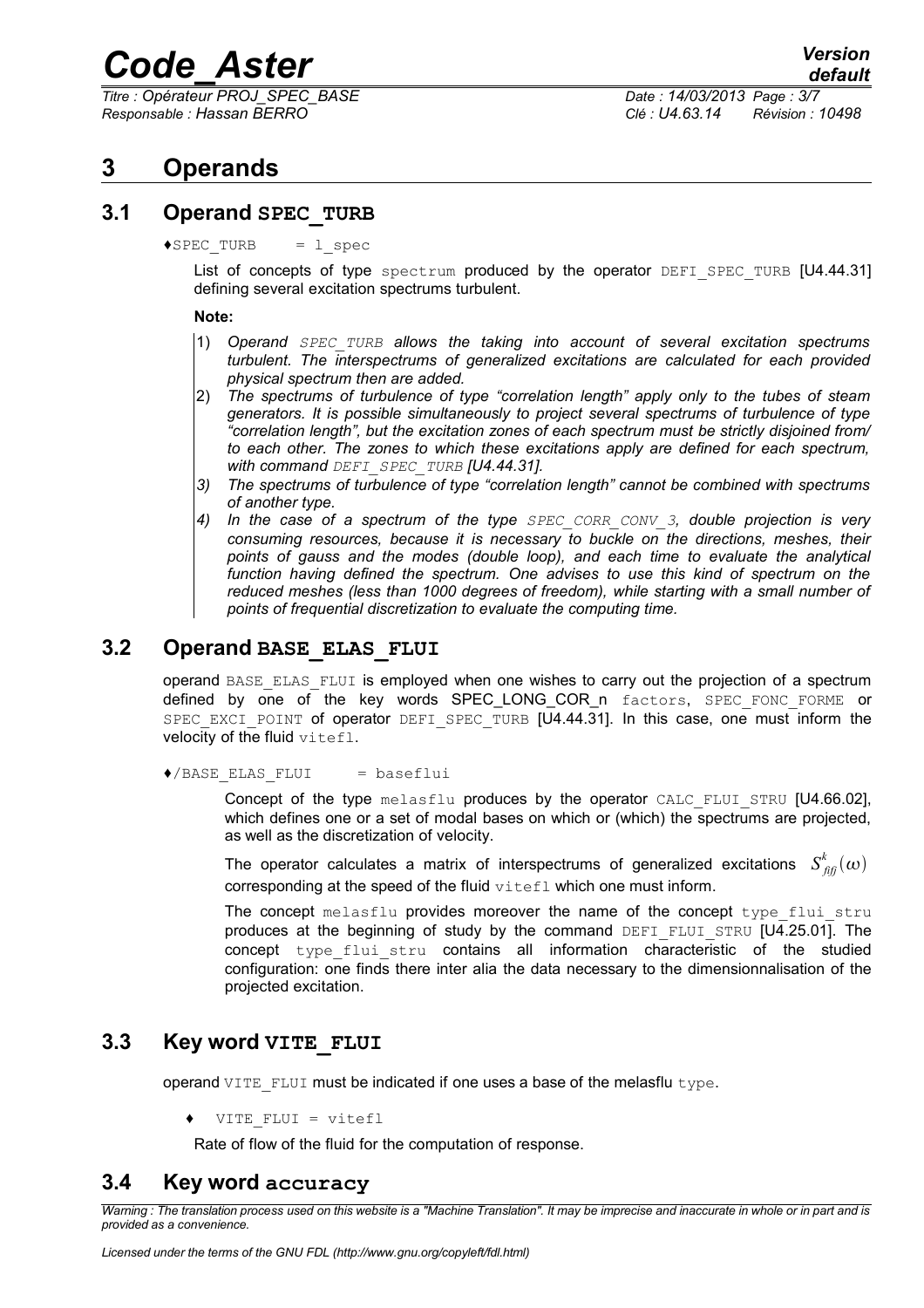*Titre : Opérateur PROJ\_SPEC\_BASE Date : 14/03/2013 Page : 3/7 Responsable : Hassan BERRO Clé : U4.63.14 Révision : 10498*

## **3 Operands**

### **3.1 Operand SPEC\_TURB**

 $\triangle$ SPEC TURB = l spec

List of concepts of type spectrum produced by the operator DEFI SPEC TURB [U4.44.31] defining several excitation spectrums turbulent.

#### **Note:**

- 1) *Operand SPEC\_TURB allows the taking into account of several excitation spectrums turbulent. The interspectrums of generalized excitations are calculated for each provided physical spectrum then are added.*
- 2) *The spectrums of turbulence of type "correlation length" apply only to the tubes of steam generators. It is possible simultaneously to project several spectrums of turbulence of type "correlation length", but the excitation zones of each spectrum must be strictly disjoined from/ to each other. The zones to which these excitations apply are defined for each spectrum, with command DEFI\_SPEC\_TURB [U4.44.31].*
- *3) The spectrums of turbulence of type "correlation length" cannot be combined with spectrums of another type.*
- *4) In the case of a spectrum of the type SPEC\_CORR\_CONV\_3, double projection is very consuming resources, because it is necessary to buckle on the directions, meshes, their points of gauss and the modes (double loop), and each time to evaluate the analytical function having defined the spectrum. One advises to use this kind of spectrum on the reduced meshes (less than 1000 degrees of freedom), while starting with a small number of points of frequential discretization to evaluate the computing time.*

### **3.2 Operand BASE\_ELAS\_FLUI**

operand BASE\_ELAS\_FLUI is employed when one wishes to carry out the projection of a spectrum defined by one of the key words SPEC LONG COR n factors, SPEC FONC FORME or SPEC EXCI POINT of operator DEFI SPEC TURB [U4.44.31]. In this case, one must inform the velocity of the fluid vitefl.

♦/BASE\_ELAS\_FLUI = baseflui

Concept of the type melasflu produces by the operator CALC FLUI STRU [U4.66.02], which defines one or a set of modal bases on which or (which) the spectrums are projected, as well as the discretization of velocity.

The operator calculates a matrix of interspectrums of generalized excitations  $S^k_{\hat{f}i\hat{f}}(\omega)$ corresponding at the speed of the fluid vitefl which one must inform.

The concept melasflu provides moreover the name of the concept type flui stru produces at the beginning of study by the command DEFI\_FLUI\_STRU  $[U4.25.01]$ . The concept type flui stru contains all information characteristic of the studied configuration: one finds there inter alia the data necessary to the dimensionnalisation of the projected excitation.

### **3.3 Key word VITE\_FLUI**

operand VITE\_FLUI must be indicated if one uses a base of the melasflu type.

VITE FLUI = vitefl

Rate of flow of the fluid for the computation of response.

### **3.4 Key word accuracy**

*Warning : The translation process used on this website is a "Machine Translation". It may be imprecise and inaccurate in whole or in part and is provided as a convenience.*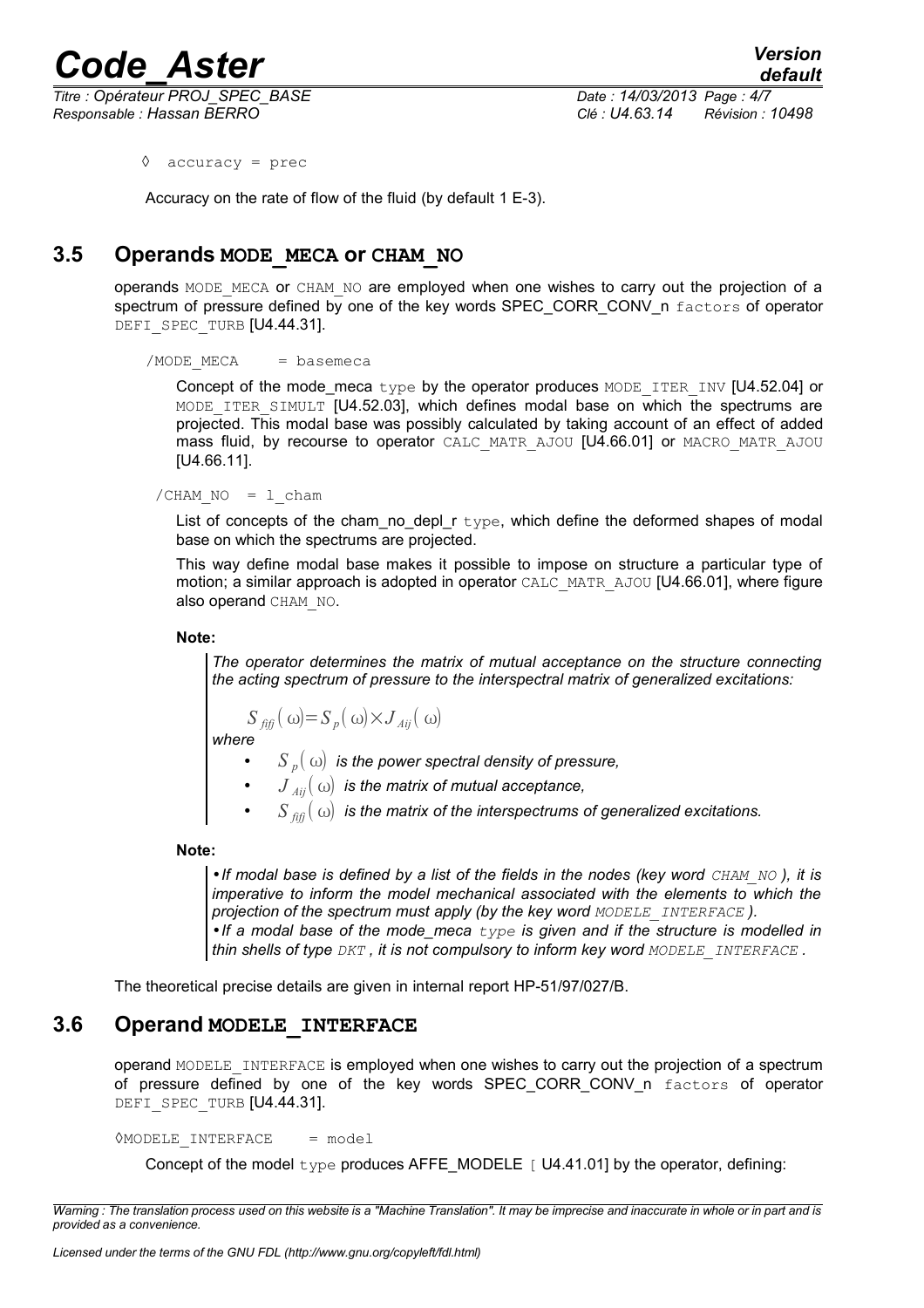*Titre : Opérateur PROJ\_SPEC\_BASE Date : 14/03/2013 Page : 4/7 Responsable : Hassan BERRO Clé : U4.63.14 Révision : 10498*

◊ accuracy = prec

Accuracy on the rate of flow of the fluid (by default 1 E-3).

### **3.5 Operands MODE\_MECA or CHAM\_NO**

operands MODE\_MECA or CHAM\_NO are employed when one wishes to carry out the projection of a spectrum of pressure defined by one of the key words SPEC\_CORR\_CONV\_n factors of operator DEFI\_SPEC\_TURB [U4.44.31].

#### $/MODE$  MECA = basemeca

Concept of the mode meca type by the operator produces MODE\_ITER\_INV [U4.52.04] or MODE ITER SIMULT [U4.52.03], which defines modal base on which the spectrums are projected. This modal base was possibly calculated by taking account of an effect of added mass fluid, by recourse to operator CALC\_MATR\_AJOU [U4.66.01] or MACRO\_MATR\_AJOU [U4.66.11].

 $/CHAM NO = 1$  cham

List of concepts of the cham no depl  $r$  type, which define the deformed shapes of modal base on which the spectrums are projected.

This way define modal base makes it possible to impose on structure a particular type of motion; a similar approach is adopted in operator CALC\_MATR\_AJOU [U4.66.01], where figure also operand CHAM\_NO.

**Note:**

*The operator determines the matrix of mutual acceptance on the structure connecting the acting spectrum of pressure to the interspectral matrix of generalized excitations:*

$$
S_{\text{iff}}(\omega) = S_p(\omega) \times J_{\text{Aij}}(\omega)
$$

*where*

- $S_p(\omega)$  *is the power spectral density of pressure,*
- $J_{\overline{A}ij}(\omega)$  is the matrix of mutual acceptance,
- $S_{\hat{m}}(\omega)$  is the matrix of the interspectrums of generalized excitations.

#### **Note:**

•*If modal base is defined by a list of the fields in the nodes (key word CHAM NO), it is imperative to inform the model mechanical associated with the elements to which the projection of the spectrum must apply (by the key word MODELE\_INTERFACE ).* •*If a modal base of the mode\_meca type is given and if the structure is modelled in thin shells of type DKT , it is not compulsory to inform key word MODELE\_INTERFACE .*

The theoretical precise details are given in internal report HP-51/97/027/B.

### **3.6 Operand MODELE\_INTERFACE**

operand MODELE INTERFACE is employed when one wishes to carry out the projection of a spectrum of pressure defined by one of the key words SPEC CORR CONV n factors of operator DEFI\_SPEC\_TURB [U4.44.31].

**OMODELE INTERFACE** = model

Concept of the model  $type$  produces AFFE\_MODELE  $\lceil$  U4.41.01] by the operator, defining:

*Warning : The translation process used on this website is a "Machine Translation". It may be imprecise and inaccurate in whole or in part and is provided as a convenience.*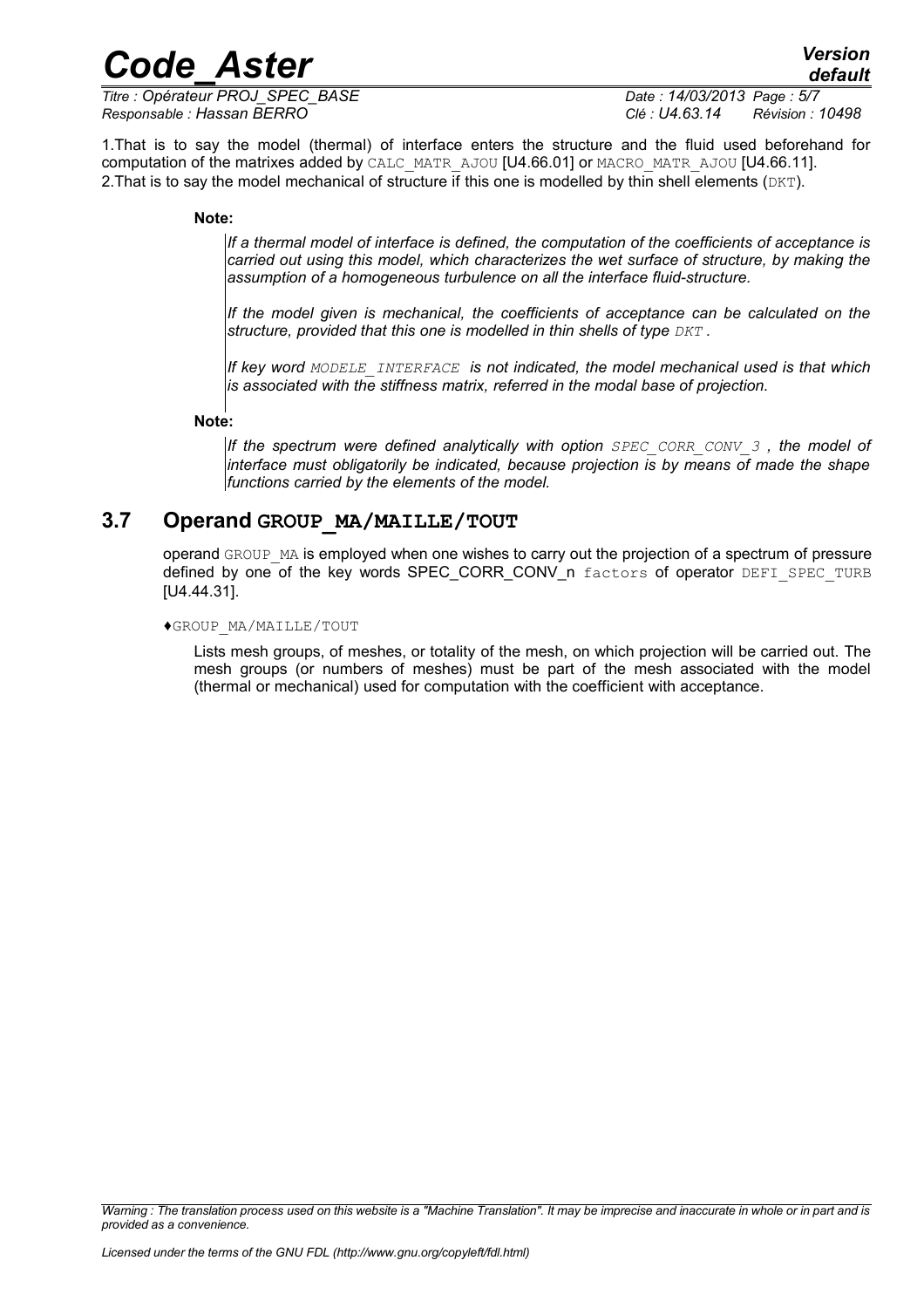*Titre : Opérateur PROJ\_SPEC\_BASE Date : 14/03/2013 Page : 5/7 Responsable : Hassan BERRO Clé : U4.63.14 Révision : 10498*

1.That is to say the model (thermal) of interface enters the structure and the fluid used beforehand for computation of the matrixes added by CALC\_MATR\_AJOU [U4.66.01] or MACRO\_MATR\_AJOU [U4.66.11]. 2. That is to say the model mechanical of structure if this one is modelled by thin shell elements  $(DKT)$ .

### **Note:**

*If a thermal model of interface is defined, the computation of the coefficients of acceptance is carried out using this model, which characterizes the wet surface of structure, by making the assumption of a homogeneous turbulence on all the interface fluid-structure.*

*If the model given is mechanical, the coefficients of acceptance can be calculated on the structure, provided that this one is modelled in thin shells of type*  $DKT$ *.* 

*If key word MODELE\_INTERFACE is not indicated, the model mechanical used is that which is associated with the stiffness matrix, referred in the modal base of projection.*

#### **Note:**

*If the spectrum were defined analytically with option SPEC CORR CONV 3, the model of interface must obligatorily be indicated, because projection is by means of made the shape functions carried by the elements of the model.*

### **3.7 Operand GROUP\_MA/MAILLE/TOUT**

operand GROUP MA is employed when one wishes to carry out the projection of a spectrum of pressure defined by one of the key words SPEC CORR CONV n factors of operator DEFI\_SPEC\_TURB [U4.44.31].

#### ♦GROUP\_MA/MAILLE/TOUT

Lists mesh groups, of meshes, or totality of the mesh, on which projection will be carried out. The mesh groups (or numbers of meshes) must be part of the mesh associated with the model (thermal or mechanical) used for computation with the coefficient with acceptance.

*Warning : The translation process used on this website is a "Machine Translation". It may be imprecise and inaccurate in whole or in part and is provided as a convenience.*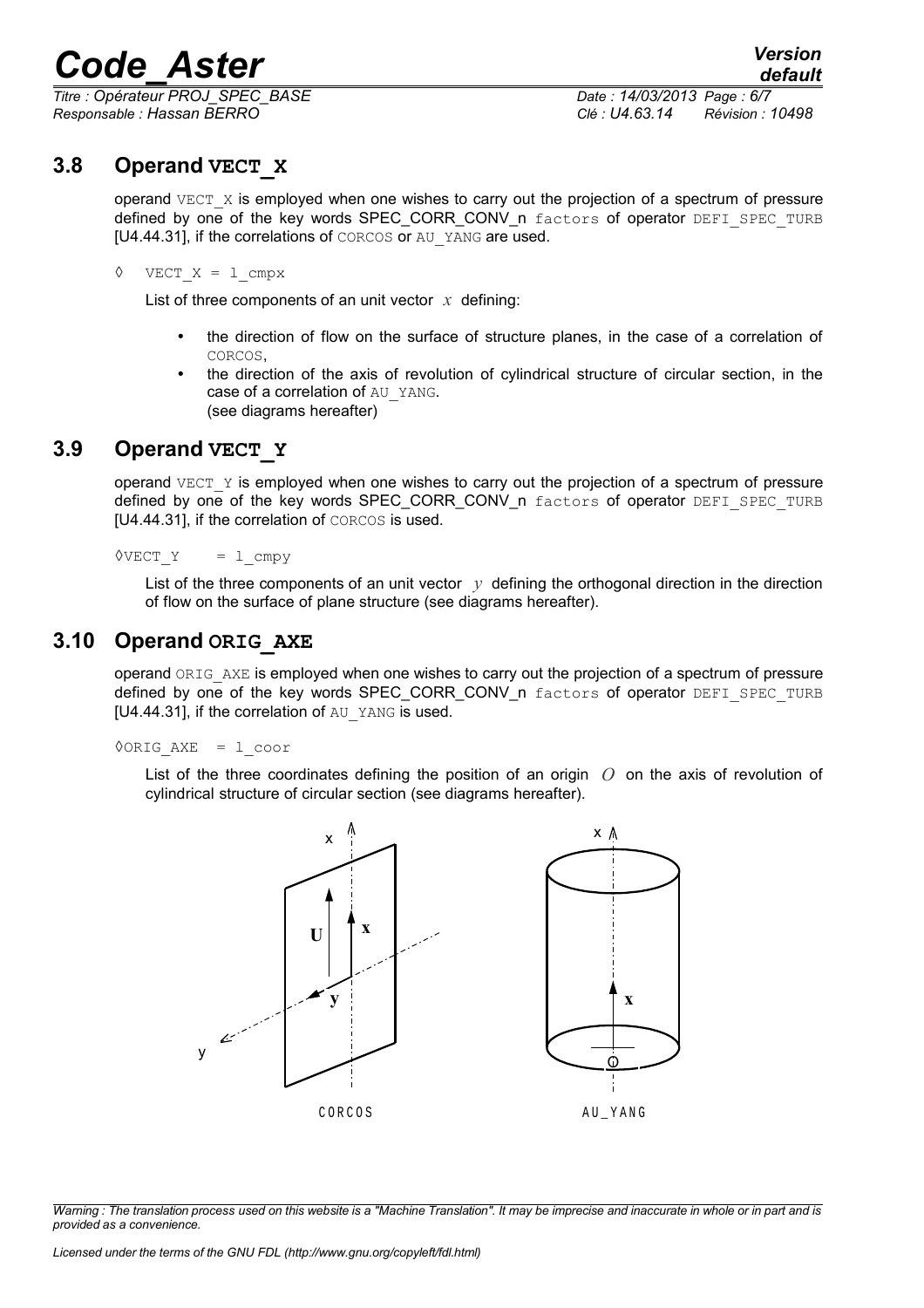*Titre : Opérateur PROJ\_SPEC\_BASE Date : 14/03/2013 Page : 6/7 Responsable : Hassan BERRO Clé : U4.63.14 Révision : 10498*

### **3.8 Operand VECT\_X**

operand  $VECT X$  is employed when one wishes to carry out the projection of a spectrum of pressure defined by one of the key words SPEC\_CORR\_CONV\_n factors of operator DEFI\_SPEC\_TURB [U4.44.31], if the correlations of CORCOS or AU\_YANG are used.

### $\Diamond$  VECT X = 1 cmpx

List of three components of an unit vector *x* defining:

- the direction of flow on the surface of structure planes, in the case of a correlation of CORCOS,
- the direction of the axis of revolution of cylindrical structure of circular section, in the case of a correlation of AU\_YANG. (see diagrams hereafter)

### **3.9 Operand VECT\_Y**

operand  $VECT Y$  is employed when one wishes to carry out the projection of a spectrum of pressure defined by one of the key words SPEC CORR CONV n factors of operator DEFI\_SPEC\_TURB [U4.44.31], if the correlation of CORCOS is used.

 $\Diamond$ VECT Y = 1 cmpy

List of the three components of an unit vector  $y$  defining the orthogonal direction in the direction of flow on the surface of plane structure (see diagrams hereafter).

### **3.10 Operand ORIG\_AXE**

operand ORIG AXE is employed when one wishes to carry out the projection of a spectrum of pressure defined by one of the key words SPEC\_CORR\_CONV\_n factors of operator DEFI\_SPEC\_TURB [U4.44.31], if the correlation of AU\_YANG is used.

◊ORIG\_AXE = l\_coor

List of the three coordinates defining the position of an origin *O* on the axis of revolution of cylindrical structure of circular section (see diagrams hereafter).



*Warning : The translation process used on this website is a "Machine Translation". It may be imprecise and inaccurate in whole or in part and is provided as a convenience.*